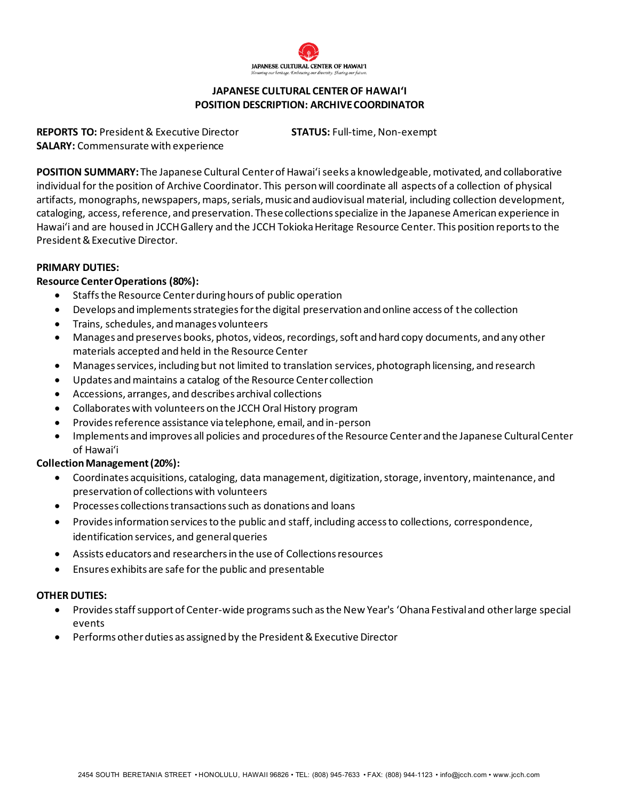

### **JAPANESE CULTURAL CENTER OF HAWAI'I POSITION DESCRIPTION: ARCHIVECOORDINATOR**

**REPORTS TO:** President & Executive Director **STATUS:** Full-time, Non-exempt **SALARY:** Commensurate with experience

**POSITION SUMMARY:** The Japanese Cultural Center of Hawaiʻi seeks a knowledgeable, motivated, and collaborative individual for the position of Archive Coordinator. This person will coordinate all aspects of a collection of physical artifacts, monographs, newspapers, maps, serials, music and audiovisual material, including collection development, cataloging, access, reference, and preservation. Thesecollectionsspecialize in the Japanese American experience in Hawaiʻi and are housed in JCCH Gallery and the JCCH Tokioka Heritage Resource Center. This position reports to the President & Executive Director.

# **PRIMARY DUTIES:**

# **Resource Center Operations (80%):**

- Staffs the Resource Center during hours of public operation
- Develops and implements strategies for the digital preservation and online access of the collection
- Trains, schedules, and manages volunteers
- Manages and preserves books, photos, videos, recordings, soft and hard copy documents, and any other materials accepted and held in the Resource Center
- Manages services, including but not limited to translation services, photograph licensing, and research
- Updates and maintains a catalog of the Resource Center collection
- Accessions, arranges, and describes archival collections
- Collaborates with volunteers on the JCCH Oral History program
- Provides reference assistance via telephone, email, and in-person
- Implements and improves all policies and procedures of the Resource Center and the Japanese Cultural Center of Hawaiʻi

# **Collection Management(20%):**

- Coordinates acquisitions, cataloging, data management, digitization, storage, inventory, maintenance, and preservation of collections with volunteers
- Processes collections transactions such as donations and loans
- Provides information services to the public and staff, including access to collections, correspondence, identification services, and general queries
- Assists educators and researchers in the use of Collections resources
- Ensures exhibits are safe for the public and presentable

### **OTHER DUTIES:**

- Provides staff support of Center-wide programs such as the New Year's ʻOhana Festival and other large special events
- Performs other duties as assigned by the President & Executive Director